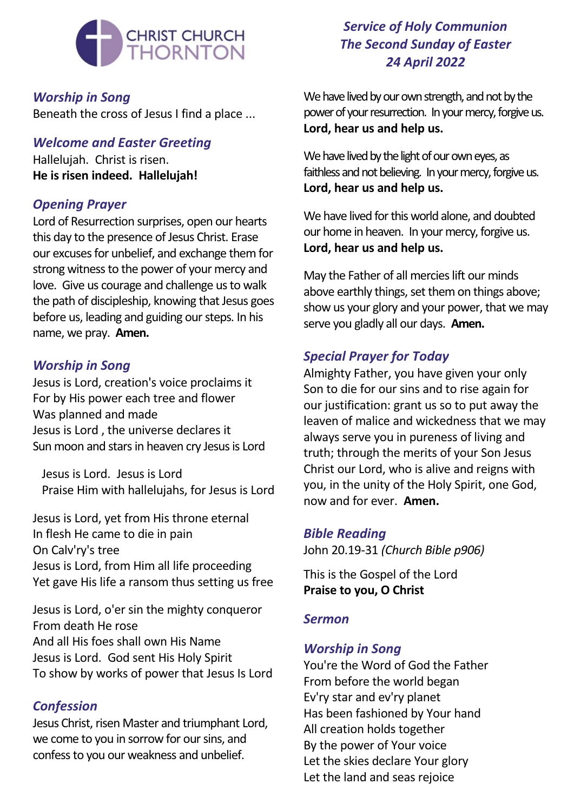

#### *Worship in Song*

Beneath the cross of Jesus I find a place ...

## *Welcome and Easter Greeting*

Hallelujah. Christ is risen. **He is risen indeed. Hallelujah!**

## *Opening Prayer*

Lord of Resurrection surprises, open our hearts this day to the presence of Jesus Christ. Erase our excuses for unbelief, and exchange them for strong witness to the power of your mercy and love. Give us courage and challenge us to walk the path of discipleship, knowing that Jesus goes before us, leading and guiding our steps. In his name, we pray. **Amen.**

# *Worship in Song*

Jesus is Lord, creation's voice proclaims it For by His power each tree and flower Was planned and made Jesus is Lord , the universe declares it Sun moon and stars in heaven cry Jesus is Lord

 Jesus is Lord. Jesus is Lord Praise Him with hallelujahs, for Jesus is Lord

Jesus is Lord, yet from His throne eternal In flesh He came to die in pain On Calv'ry's tree Jesus is Lord, from Him all life proceeding Yet gave His life a ransom thus setting us free

Jesus is Lord, o'er sin the mighty conqueror From death He rose And all His foes shall own His Name Jesus is Lord. God sent His Holy Spirit To show by works of power that Jesus Is Lord

# *Confession*

Jesus Christ, risen Master and triumphant Lord, we come to you in sorrow for our sins, and confessto you our weakness and unbelief.

# *Service of Holy Communion The Second Sunday of Easter 24 April 2022*

We have lived by our own strength, and not by the power of your resurrection. In your mercy, forgive us. **Lord, hear us and help us.**

We have lived by the light of our own eyes, as faithless and not believing. In your mercy, forgive us. **Lord, hear us and help us.**

We have lived for this world alone, and doubted our home in heaven. In your mercy, forgive us. **Lord, hear us and help us.**

May the Father of all mercies lift our minds above earthly things, set them on things above; show us your glory and your power, that we may serve you gladly all our days. **Amen.**

# *Special Prayer for Today*

Almighty Father, you have given your only Son to die for our sins and to rise again for our justification: grant us so to put away the leaven of malice and wickedness that we may always serve you in pureness of living and truth; through the merits of your Son Jesus Christ our Lord, who is alive and reigns with you, in the unity of the Holy Spirit, one God, now and for ever. **Amen.**

*Bible Reading* John 20.19-31 *(Church Bible p906)*

This is the Gospel of the Lord **Praise to you, O Christ**

## *Sermon*

## *Worship in Song*

You're the Word of God the Father From before the world began Ev'ry star and ev'ry planet Has been fashioned by Your hand All creation holds together By the power of Your voice Let the skies declare Your glory Let the land and seas rejoice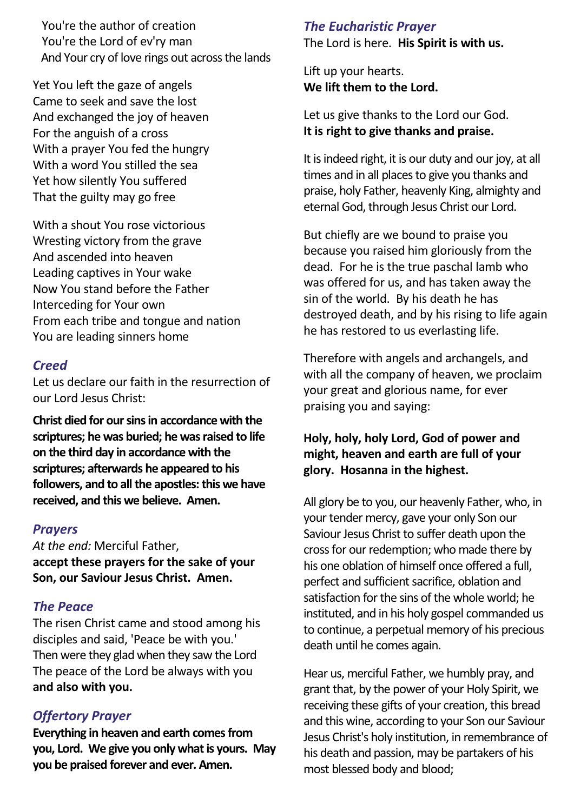You're the author of creation You're the Lord of ev'ry man And Your cry of love rings out across the lands

Yet You left the gaze of angels Came to seek and save the lost And exchanged the joy of heaven For the anguish of a cross With a prayer You fed the hungry With a word You stilled the sea Yet how silently You suffered That the guilty may go free

With a shout You rose victorious Wresting victory from the grave And ascended into heaven Leading captives in Your wake Now You stand before the Father Interceding for Your own From each tribe and tongue and nation You are leading sinners home

### *Creed*

Let us declare our faith in the resurrection of our Lord Jesus Christ:

**Christ died for oursinsin accordance with the scriptures; he was buried; he wasraised to life on the third day in accordance with the scriptures; afterwards he appeared to his followers, and to all the apostles: this we have received, and this we believe. Amen.**

#### *Prayers*

*At the end:* Merciful Father, **accept these prayers for the sake of your Son, our Saviour Jesus Christ. Amen.**

#### *The Peace*

The risen Christ came and stood among his disciples and said, 'Peace be with you.' Then were they glad when they saw the Lord The peace of the Lord be always with you **and also with you.**

# *Offertory Prayer*

**Everything in heaven and earth comes from you, Lord. We give you only whatis yours. May you be praised forever and ever. Amen.**

# *The Eucharistic Prayer*

The Lord is here. **His Spirit is with us.**

Lift up your hearts. **We lift them to the Lord.**

Let us give thanks to the Lord our God. **It is right to give thanks and praise.**

It is indeed right, it is our duty and our joy, at all times and in all places to give you thanks and praise, holy Father, heavenly King, almighty and eternal God, through Jesus Christ our Lord.

But chiefly are we bound to praise you because you raised him gloriously from the dead. For he is the true paschal lamb who was offered for us, and has taken away the sin of the world. By his death he has destroyed death, and by his rising to life again he has restored to us everlasting life.

Therefore with angels and archangels, and with all the company of heaven, we proclaim your great and glorious name, for ever praising you and saying:

# **Holy, holy, holy Lord, God of power and might, heaven and earth are full of your glory. Hosanna in the highest.**

All glory be to you, our heavenly Father, who, in your tender mercy, gave your only Son our Saviour Jesus Christ to suffer death upon the cross for our redemption; who made there by his one oblation of himself once offered a full, perfect and sufficient sacrifice, oblation and satisfaction for the sins of the whole world; he instituted, and in his holy gospel commanded us to continue, a perpetual memory of his precious death until he comes again.

Hear us, merciful Father, we humbly pray, and grant that, by the power of your Holy Spirit, we receiving these gifts of your creation, this bread and this wine, according to your Son our Saviour Jesus Christ's holy institution, in remembrance of his death and passion, may be partakers of his most blessed body and blood;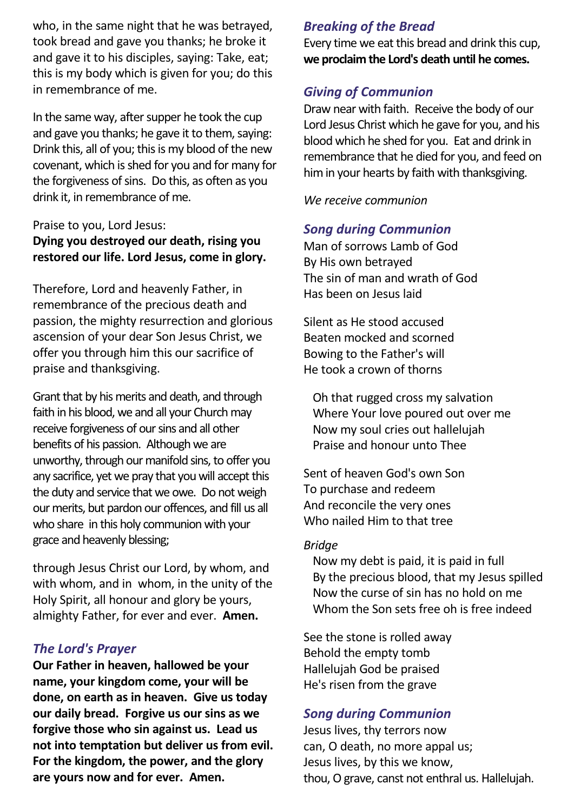who, in the same night that he was betrayed, took bread and gave you thanks; he broke it and gave it to his disciples, saying: Take, eat; this is my body which is given for you; do this in remembrance of me.

In the same way, after supper he took the cup and gave you thanks; he gave it to them, saying: Drink this, all of you; this is my blood of the new covenant, which is shed for you and for many for the forgiveness of sins. Do this, as often as you drink it, in remembrance of me.

#### Praise to you, Lord Jesus:

### **Dying you destroyed our death, rising you restored our life. Lord Jesus, come in glory.**

Therefore, Lord and heavenly Father, in remembrance of the precious death and passion, the mighty resurrection and glorious ascension of your dear Son Jesus Christ, we offer you through him this our sacrifice of praise and thanksgiving.

Grant that by his merits and death, and through faith in his blood, we and all your Church may receive forgiveness of our sins and all other benefits of his passion. Although we are unworthy, through our manifold sins, to offer you any sacrifice, yet we pray that you will accept this the duty and service that we owe. Do not weigh our merits, but pardon our offences, and fill us all who share in this holy communion with your grace and heavenly blessing;

through Jesus Christ our Lord, by whom, and with whom, and in whom, in the unity of the Holy Spirit, all honour and glory be yours, almighty Father, for ever and ever. **Amen.**

## *The Lord's Prayer*

**Our Father in heaven, hallowed be your name, your kingdom come, your will be done, on earth as in heaven. Give us today our daily bread. Forgive us our sins as we forgive those who sin against us. Lead us not into temptation but deliver us from evil. For the kingdom, the power, and the glory are yours now and for ever. Amen.**

# *Breaking of the Bread*

Every time we eat this bread and drink this cup, **we proclaim the Lord's death until he comes.**

# *Giving of Communion*

Draw near with faith. Receive the body of our Lord Jesus Christ which he gave for you, and his blood which he shed for you. Eat and drink in remembrance that he died for you, and feed on him in your hearts by faith with thanksgiving.

*We receive communion*

## *Song during Communion*

Man of sorrows Lamb of God By His own betrayed The sin of man and wrath of God Has been on Jesus laid

Silent as He stood accused Beaten mocked and scorned Bowing to the Father's will He took a crown of thorns

 Oh that rugged cross my salvation Where Your love poured out over me Now my soul cries out hallelujah Praise and honour unto Thee

Sent of heaven God's own Son To purchase and redeem And reconcile the very ones Who nailed Him to that tree

#### *Bridge*

 Now my debt is paid, it is paid in full By the precious blood, that my Jesus spilled Now the curse of sin has no hold on me Whom the Son sets free oh is free indeed

See the stone is rolled away Behold the empty tomb Hallelujah God be praised He's risen from the grave

## *Song during Communion*

Jesus lives, thy terrors now can, O death, no more appal us; Jesus lives, by this we know, thou, Ograve, canst not enthral us. Hallelujah.